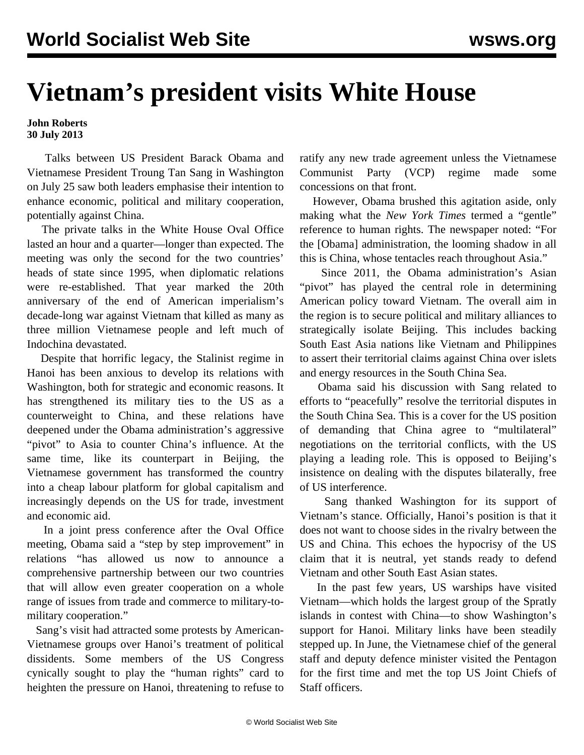## **Vietnam's president visits White House**

## **John Roberts 30 July 2013**

 Talks between US President Barack Obama and Vietnamese President Troung Tan Sang in Washington on July 25 saw both leaders emphasise their intention to enhance economic, political and military cooperation, potentially against China.

 The private talks in the White House Oval Office lasted an hour and a quarter—longer than expected. The meeting was only the second for the two countries' heads of state since 1995, when diplomatic relations were re-established. That year marked the 20th anniversary of the end of American imperialism's decade-long war against Vietnam that killed as many as three million Vietnamese people and left much of Indochina devastated.

 Despite that horrific legacy, the Stalinist regime in Hanoi has been anxious to develop its relations with Washington, both for strategic and economic reasons. It has strengthened its military ties to the US as a counterweight to China, and these relations have deepened under the Obama administration's aggressive "pivot" to Asia to counter China's influence. At the same time, like its counterpart in Beijing, the Vietnamese government has transformed the country into a cheap labour platform for global capitalism and increasingly depends on the US for trade, investment and economic aid.

 In a joint press conference after the Oval Office meeting, Obama said a "step by step improvement" in relations "has allowed us now to announce a comprehensive partnership between our two countries that will allow even greater cooperation on a whole range of issues from trade and commerce to military-tomilitary cooperation."

 Sang's visit had attracted some protests by American-Vietnamese groups over Hanoi's treatment of political dissidents. Some members of the US Congress cynically sought to play the "human rights" card to heighten the pressure on Hanoi, threatening to refuse to ratify any new trade agreement unless the Vietnamese Communist Party (VCP) regime made some concessions on that front.

 However, Obama brushed this agitation aside, only making what the *New York Times* termed a "gentle" reference to human rights. The newspaper noted: "For the [Obama] administration, the looming shadow in all this is China, whose tentacles reach throughout Asia."

 Since 2011, the Obama administration's Asian "pivot" has played the central role in determining American policy toward Vietnam. The overall aim in the region is to secure political and military alliances to strategically isolate Beijing. This includes backing South East Asia nations like Vietnam and Philippines to assert their territorial claims against China over islets and energy resources in the South China Sea.

 Obama said his discussion with Sang related to efforts to "peacefully" resolve the territorial disputes in the South China Sea. This is a cover for the US position of demanding that China agree to "multilateral" negotiations on the territorial conflicts, with the US playing a leading role. This is opposed to Beijing's insistence on dealing with the disputes bilaterally, free of US interference.

 Sang thanked Washington for its support of Vietnam's stance. Officially, Hanoi's position is that it does not want to choose sides in the rivalry between the US and China. This echoes the hypocrisy of the US claim that it is neutral, yet stands ready to defend Vietnam and other South East Asian states.

 In the past few years, US warships have visited Vietnam—which holds the largest group of the Spratly islands in contest with China—to show Washington's support for Hanoi. Military links have been steadily stepped up. In June, the Vietnamese chief of the general staff and deputy defence minister visited the Pentagon for the first time and met the top US Joint Chiefs of Staff officers.